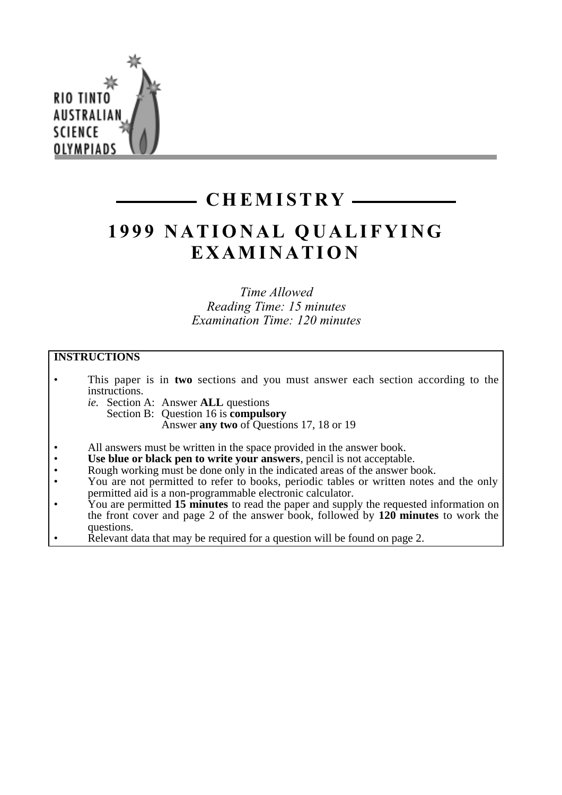

# **CHEMISTRY**

# **1999 NATIONAL QUALIFYING EXAMINATION**

*Time Allowed Reading Time: 15 minutes Examination Time: 120 minutes*

# **INSTRUCTIONS**

- This paper is in **two** sections and you must answer each section according to the instructions.
	- *ie.* Section A: Answer **ALL** questions Section B: Question 16 is **compulsory** Answer **any two** of Questions 17, 18 or 19
- All answers must be written in the space provided in the answer book.
- Use blue or black pen to write your answers, pencil is not acceptable.
- Rough working must be done only in the indicated areas of the answer book.
- You are not permitted to refer to books, periodic tables or written notes and the only permitted aid is a non-programmable electronic calculator.
- You are permitted **15 minutes** to read the paper and supply the requested information on the front cover and page 2 of the answer book, followed by **120 minutes** to work the questions.
- Relevant data that may be required for a question will be found on page 2.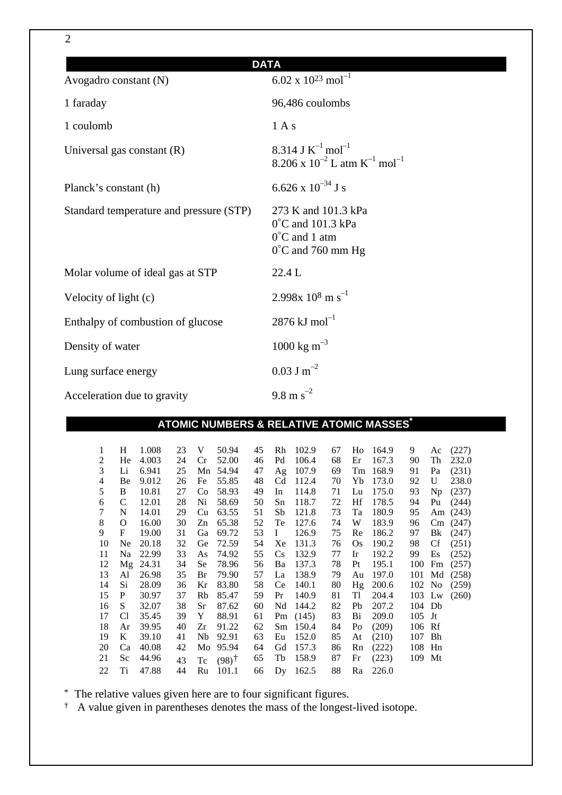| <b>DATA</b>                             |                                                                                                              |
|-----------------------------------------|--------------------------------------------------------------------------------------------------------------|
| Avogadro constant (N)                   | 6.02 x $10^{23}$ mol <sup>-1</sup>                                                                           |
| 1 faraday                               | 96,486 coulombs                                                                                              |
| 1 coulomb                               | 1 A s                                                                                                        |
| Universal gas constant $(R)$            | 8.314 J $K^{-1}$ mol <sup>-1</sup><br>8.206 x $10^{-2}$ L atm K <sup>-1</sup> mol <sup>-1</sup>              |
| Planck's constant (h)                   | 6.626 x $10^{-34}$ J s                                                                                       |
| Standard temperature and pressure (STP) | 273 K and 101.3 kPa<br>$0^{\circ}$ C and 101.3 kPa<br>$0^{\circ}$ C and 1 atm<br>$0^{\circ}$ C and 760 mm Hg |
| Molar volume of ideal gas at STP        | 22.4 L                                                                                                       |
| Velocity of light (c)                   | 2.998x $10^8$ m s <sup>-1</sup>                                                                              |
| Enthalpy of combustion of glucose       | $2876 \mathrm{kJ} \mathrm{mol}^{-1}$                                                                         |
| Density of water                        | 1000 kg m <sup>-3</sup>                                                                                      |
| Lung surface energy                     | $0.03$ J m <sup>-2</sup>                                                                                     |
| Acceleration due to gravity             | 9.8 m $s^{-2}$                                                                                               |

# **ATOMIC NUMBERS & RELATIVE ATOMIC MASSES\***

| 1  | H              | 1.008 | 23 | V              | 50.94               | 45 | Rh                     | 102.9      | 67 | Ho        | 164.9 | 9        | Ac     | (227)   |
|----|----------------|-------|----|----------------|---------------------|----|------------------------|------------|----|-----------|-------|----------|--------|---------|
| 2  | He             | 4.003 | 24 | Cr             | 52.00               | 46 | Pd                     | 106.4      | 68 | Er        | 167.3 | 90       | Th     | 232.0   |
| 3  | Li             | 6.941 | 25 | Mn             | 54.94               | 47 | Ag                     | 107.9      | 69 | Tm        | 168.9 | 91       | Pa     | (231)   |
| 4  | Be             | 9.012 | 26 | Fe             | 55.85               | 48 | C <sub>d</sub>         | 112.4      | 70 | Yb        | 173.0 | 92       | U      | 238.0   |
| 5  | B              | 10.81 | 27 | Co             | 58.93               | 49 | In                     | 114.8      | 71 | Lu        | 175.0 | 93       | Np     | (237)   |
| 6  | C              | 12.01 | 28 | Ni             | 58.69               | 50 | Sn                     | 118.7      | 72 | Hf        | 178.5 | 94       | Pu     | (244)   |
| 7  | N              | 14.01 | 29 | Cu             | 63.55               | 51 | Sb                     | 121.8      | 73 | Ta        | 180.9 | 95       | Am     | (243)   |
| 8  | O              | 16.00 | 30 | Zn             | 65.38               | 52 | Te                     | 127.6      | 74 | W         | 183.9 | 96       |        | Cm(247) |
| 9  | F              | 19.00 | 31 | Ga             | 69.72               | 53 | $\bf{I}$               | 126.9      | 75 | Re        | 186.2 | 97       | Bk     | (247)   |
| 10 | Ne.            | 20.18 | 32 | Ge             | 72.59               | 54 | Xe                     | 131.3      | 76 | <b>Os</b> | 190.2 | 98       | Cf     | (251)   |
| 11 | Na             | 22.99 | 33 | As             | 74.92               | 55 | $\mathbf{C}\mathbf{s}$ | 132.9      | 77 | Ir        | 192.2 | 99       | Es     | (252)   |
| 12 | Mg             | 24.31 | 34 | Se             | 78.96               | 56 | Ba                     | 137.3      | 78 | Pt        | 195.1 | 100      | Fm     | (257)   |
| 13 | Al             | 26.98 | 35 | Br             | 79.90               | 57 | La                     | 138.9      | 79 | Au        | 197.0 | 101      | Md     | (258)   |
| 14 | Si             | 28.09 | 36 | Kr             | 83.80               | 58 | Ce                     | 140.1      | 80 | Hg        | 200.6 | 102 No   |        | (259)   |
| 15 | P              | 30.97 | 37 | Rb             | 85.47               | 59 | Pr                     | 140.9      | 81 | Tl        | 204.4 |          | 103 Lw | (260)   |
| 16 | S              | 32.07 | 38 | Sr             | 87.62               | 60 | Nd                     | 144.2      | 82 | Pb        | 207.2 | 104 Db   |        |         |
| 17 | C <sub>1</sub> | 35.45 | 39 | Y              | 88.91               | 61 |                        | Pm $(145)$ | 83 | Bi        | 209.0 | $105$ Jt |        |         |
| 18 | Ar             | 39.95 | 40 | Zr             | 91.22               | 62 | Sm                     | 150.4      | 84 | Po        | (209) | 106 Rf   |        |         |
| 19 | K              | 39.10 | 41 | N <sub>b</sub> | 92.91               | 63 | Eu                     | 152.0      | 85 | At        | (210) | 107      | Bh     |         |
| 20 | Ca             | 40.08 | 42 | Mo             | 95.94               | 64 | Gd                     | 157.3      | 86 | Rn        | (222) | 108 Hn   |        |         |
| 21 | Sc             | 44.96 | 43 | Tc             | $(98)$ <sup>†</sup> | 65 | Tb                     | 158.9      | 87 | Fr        | (223) | 109 Mt   |        |         |
| 22 | Ti             | 47.88 | 44 | Ru             | 101.1               | 66 | Dv                     | 162.5      | 88 | Ra        | 226.0 |          |        |         |

\* The relative values given here are to four significant figures.

† A value given in parentheses denotes the mass of the longest-lived isotope.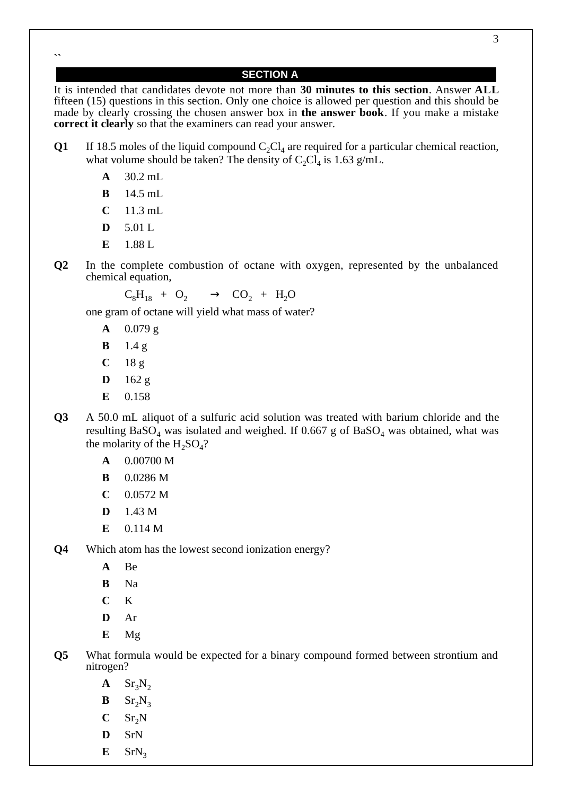**``**

# **SECTION A**

It is intended that candidates devote not more than **30 minutes to this section**. Answer **ALL** fifteen (15) questions in this section. Only one choice is allowed per question and this should be made by clearly crossing the chosen answer box in **the answer book**. If you make a mistake **correct it clearly** so that the examiners can read your answer.

- **Q1** If 18.5 moles of the liquid compound  $C_2Cl_4$  are required for a particular chemical reaction, what volume should be taken? The density of  $C_2Cl_4$  is 1.63 g/mL.
	- **A** 30.2 mL
	- **B** 14.5 mL
	- $C = 11.3$  mL
	- **D** 5.01 L
	- **E** 1.88 L
- **Q2** In the complete combustion of octane with oxygen, represented by the unbalanced chemical equation,

$$
C_8H_{18} + O_2 \longrightarrow CO_2 + H_2O
$$

one gram of octane will yield what mass of water?

- **A** 0.079 g
- **B** 1.4 g
- **C** 18 g
- **D** 162 g
- **E** 0.158
- **Q3** A 50.0 mL aliquot of a sulfuric acid solution was treated with barium chloride and the resulting  $BaSO<sub>4</sub>$  was isolated and weighed. If 0.667 g of  $BaSO<sub>4</sub>$  was obtained, what was the molarity of the  $H_2SO_4$ ?
	- **A** 0.00700 M
	- **B** 0.0286 M
	- **C** 0.0572 M
	- **D** 1.43 M
	- **E** 0.114 M
- **Q4** Which atom has the lowest second ionization energy?
	- **A** Be
	- **B** Na
	- **C** K
	- **D** Ar
	- **E** Mg
- **Q5** What formula would be expected for a binary compound formed between strontium and nitrogen?
	- $\mathbf{A}$  Sr<sub>3</sub>N<sub>2</sub>
	- $B = Sr_2N_3$
	- $C$  Sr<sub>2</sub>N
	- **D** SrN
	- $E$  SrN<sub>3</sub>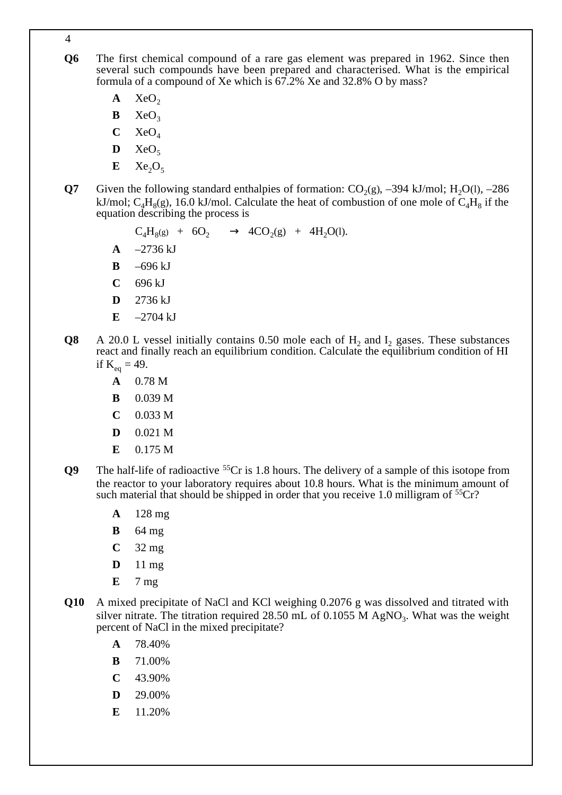**Q6** The first chemical compound of a rare gas element was prepared in 1962. Since then several such compounds have been prepared and characterised. What is the empirical formula of a compound of Xe which is 67.2% Xe and 32.8% O by mass?

 $A$  XeO<sub>2</sub>

- $\mathbf{B}$  XeO<sub>3</sub>
- $C$  XeO<sub>4</sub>
- $\mathbf{D}$  XeO<sub>5</sub>
- $E$  Xe<sub>2</sub>O<sub>5</sub>
- **Q7** Given the following standard enthalpies of formation:  $CO<sub>2</sub>(g)$ , –394 kJ/mol; H<sub>2</sub>O(l), –286 kJ/mol;  $C_4H_8(g)$ , 16.0 kJ/mol. Calculate the heat of combustion of one mole of  $C_4H_8$  if the equation describing the process is
	- $C_4H_8(g) + 6O_2 \longrightarrow 4CO_2(g) + 4H_2O(l).$
	- $A = -2736 \text{ kJ}$
	- **B** –696 kJ
	- **C** 696 kJ
	- **D** 2736 kJ
	- $E = -2704$  kJ
- **Q8** A 20.0 L vessel initially contains 0.50 mole each of H<sub>2</sub> and I<sub>2</sub> gases. These substances react and finally reach an equilibrium condition. Calculate the equilibrium condition of HI if  $K_{eq} = 49$ .
	- **A** 0.78 M
	- **B** 0.039 M
	- $C = 0.033 M$
	- **D** 0.021 M
	- **E** 0.175 M
- **Q9** The half-life of radioactive <sup>55</sup>Cr is 1.8 hours. The delivery of a sample of this isotope from the reactor to your laboratory requires about 10.8 hours. What is the minimum amount of such material that should be shipped in order that you receive 1.0 milligram of  ${}^{55}Cr$ ?
	- **A** 128 mg
	- **B** 64 mg
	- **C** 32 mg
	- **D** 11 mg
	- **E** 7 mg
- **Q10** A mixed precipitate of NaCl and KCl weighing 0.2076 g was dissolved and titrated with silver nitrate. The titration required 28.50 mL of 0.1055 M  $AgNO<sub>3</sub>$ . What was the weight percent of NaCl in the mixed precipitate?
	- **A** 78.40%
	- **B** 71.00%
	- **C** 43.90%
	- **D** 29.00%
	- **E** 11.20%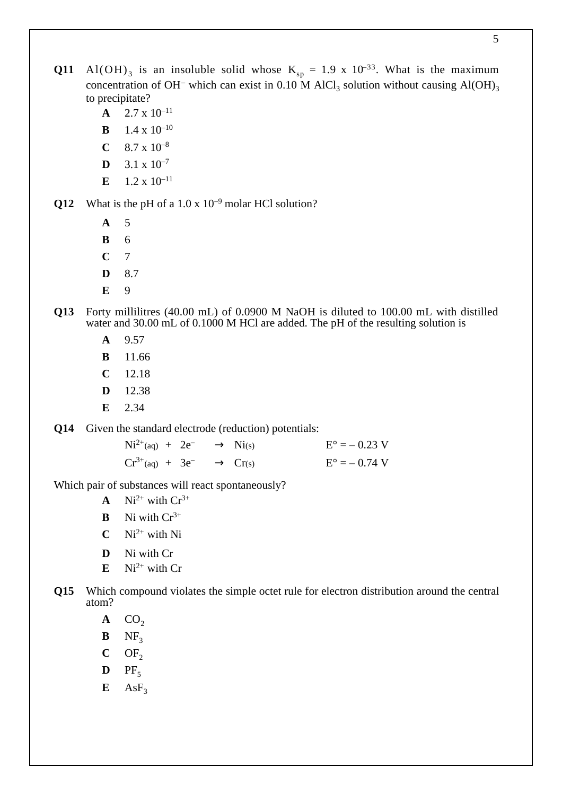- **Q11** Al(OH)<sub>3</sub> is an insoluble solid whose  $K_{sp} = 1.9 \times 10^{-33}$ . What is the maximum concentration of OH<sup>-</sup> which can exist in 0.10 M AlCl<sub>3</sub> solution without causing Al(OH)<sub>3</sub> to precipitate?
	- $A = 2.7 \times 10^{-11}$
	- **B** 1.4 x  $10^{-10}$
	- $C = 8.7 \times 10^{-8}$
	- **D**  $3.1 \times 10^{-7}$
	- **E**  $1.2 \times 10^{-11}$

**Q12** What is the pH of a 1.0 x 10<sup>-9</sup> molar HCl solution?

- **A** 5
- **B** 6
- **C** 7
- **D** 8.7
- **E** 9
- **Q13** Forty millilitres (40.00 mL) of 0.0900 M NaOH is diluted to 100.00 mL with distilled water and 30.00 mL of 0.1000 M HCl are added. The pH of the resulting solution is
	- **A** 9.57
	- **B** 11.66
	- **C** 12.18
	- **D** 12.38
	- **E** 2.34

**Q14** Given the standard electrode (reduction) potentials:

 $Ni^{2+}(aq) + 2e^- \longrightarrow Ni(s)$   $E^{\circ} = -0.23 \text{ V}$  $Cr^{3+}(aq) + 3e^- \longrightarrow Cr(s)$   $E^{\circ} = -0.74 \text{ V}$ 

Which pair of substances will react spontaneously?

- **A** Ni<sup>2+</sup> with  $Cr^{3+}$
- **B** Ni with  $Cr^{3+}$
- $C$  Ni<sup>2+</sup> with Ni
- **D** Ni with Cr
- $E$  Ni<sup>2+</sup> with Cr
- **Q15** Which compound violates the simple octet rule for electron distribution around the central atom?
	- $\mathbf{A}$  CO<sub>2</sub>
	- $\mathbf{B}$  NF<sub>3</sub>
	- $C$  OF<sub>2</sub>
	- $\mathbf{D}$  PF<sub>5</sub>
	- $E$  AsF<sub>3</sub>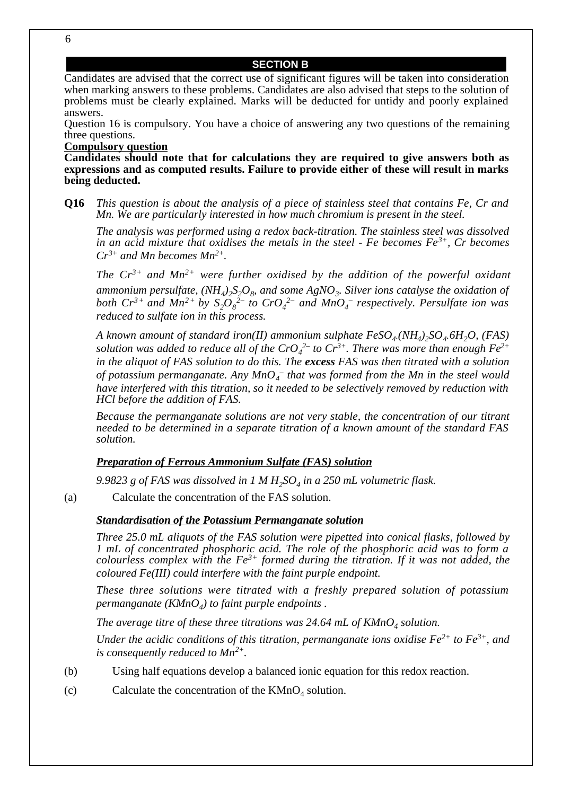#### **SECTION B**

Candidates are advised that the correct use of significant figures will be taken into consideration when marking answers to these problems. Candidates are also advised that steps to the solution of problems must be clearly explained. Marks will be deducted for untidy and poorly explained answers.

Question 16 is compulsory. You have a choice of answering any two questions of the remaining three questions.

#### **Compulsory question**

**Candidates should note that for calculations they are required to give answers both as expressions and as computed results. Failure to provide either of these will result in marks being deducted.**

**Q16** *This question is about the analysis of a piece of stainless steel that contains Fe, Cr and Mn. We are particularly interested in how much chromium is present in the steel.*

*The analysis was performed using a redox back-titration. The stainless steel was dissolved in an acid mixture that oxidises the metals in the steel - Fe becomes Fe3+, Cr becomes Cr3+ and Mn becomes Mn2+.*

*The Cr3+ and Mn2+ were further oxidised by the addition of the powerful oxidant ammonium persulfate,*  $(NH_4)_2S_2O_8$  *and some AgNO<sub>3</sub>. Silver ions catalyse the oxidation of both*  $Cr^{3+}$  *and*  $Mn^{2+}$  *by*  $S_2O_8^{2-}$  *to*  $CrO_4^{2-}$  *and*  $MnO_4^-$  *respectively. Persulfate ion was reduced to sulfate ion in this process.*

*A known amount of standard iron(II) ammonium sulphate*  $FeSO_4(NH_4)_2SO_4.6H_2O$ *, (FAS)* solution was added to reduce all of the CrO<sub>4</sub><sup>2–</sup> to Cr<sup>3+</sup>. There was more than enough Fe<sup>2+</sup> *in the aliquot of FAS solution to do this. The excess FAS was then titrated with a solution*  $of$  potassium permanganate. Any  $MnO_4^-$  that was formed from the Mn in the steel would *have interfered with this titration, so it needed to be selectively removed by reduction with HCl before the addition of FAS.*

*Because the permanganate solutions are not very stable, the concentration of our titrant needed to be determined in a separate titration of a known amount of the standard FAS solution.*

### *Preparation of Ferrous Ammonium Sulfate (FAS) solution*

9.9823 g of FAS was dissolved in 1 M H<sub>2</sub>SO<sub>4</sub> in a 250 mL volumetric flask.

(a) Calculate the concentration of the FAS solution.

# *Standardisation of the Potassium Permanganate solution*

*Three 25.0 mL aliquots of the FAS solution were pipetted into conical flasks, followed by 1 mL of concentrated phosphoric acid. The role of the phosphoric acid was to form a colourless complex with the Fe3+ formed during the titration. If it was not added, the coloured Fe(III) could interfere with the faint purple endpoint.*

*These three solutions were titrated with a freshly prepared solution of potassium permanganate (KMnO<sub>4</sub>) to faint purple endpoints.* 

The average titre of these three titrations was  $24.64$  mL of  $KMnO<sub>4</sub>$  solution.

*Under the acidic conditions of this titration, permanganate ions oxidise*  $Fe^{2+}$  *to*  $Fe^{3+}$ *, and is consequently reduced to Mn2+.*

- (b) Using half equations develop a balanced ionic equation for this redox reaction.
- (c) Calculate the concentration of the  $KMnO<sub>4</sub>$  solution.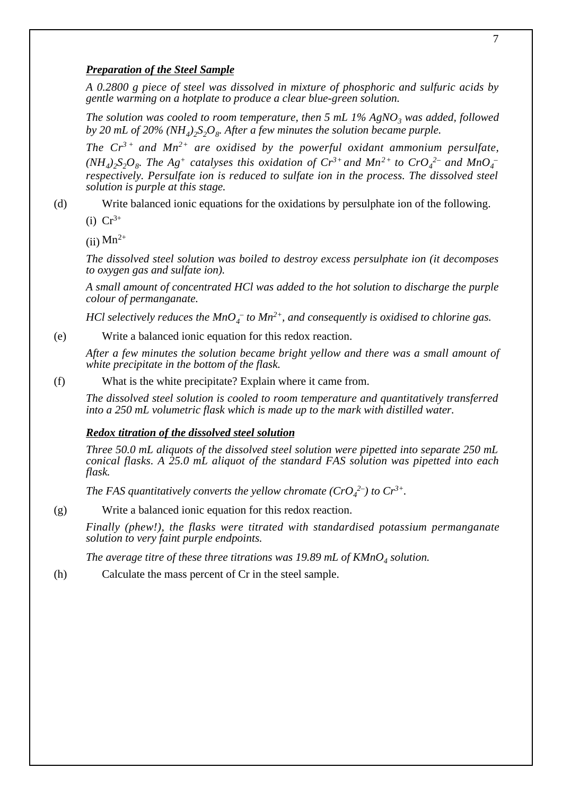# *Preparation of the Steel Sample*

*A 0.2800 g piece of steel was dissolved in mixture of phosphoric and sulfuric acids by gentle warming on a hotplate to produce a clear blue-green solution.*

*The solution was cooled to room temperature, then 5 mL 1% AgNO<sub>3</sub> was added, followed by 20 mL of 20% (NH<sub>4</sub>)*,  $S_2O_8$ . After a few minutes the solution became purple.

*The*  $Cr^{3+}$  *and Mn<sup>2+</sup> are oxidised by the powerful oxidant ammonium persulfate,*  $(NH_4)_2S_2O_8$ . The Ag<sup>+</sup> catalyses this oxidation of  $Cr^{3+}$  and  $Mn^{2+}$  to  $CrO_4^{2-}$  and  $MnO_4^{-}$ *respectively. Persulfate ion is reduced to sulfate ion in the process. The dissolved steel solution is purple at this stage.*

(d) Write balanced ionic equations for the oxidations by persulphate ion of the following.

(i)  $Cr^{3+}$ 

 $(iii)$  Mn<sup>2+</sup>

*The dissolved steel solution was boiled to destroy excess persulphate ion (it decomposes to oxygen gas and sulfate ion).*

*A small amount of concentrated HCl was added to the hot solution to discharge the purple colour of permanganate.*

*HCl selectively reduces the MnO<sub>4</sub><sup>* $-$ *</sup> to Mn<sup>2+</sup>, and consequently is oxidised to chlorine gas.* 

(e) Write a balanced ionic equation for this redox reaction.

*After a few minutes the solution became bright yellow and there was a small amount of white precipitate in the bottom of the flask.*

(f) What is the white precipitate? Explain where it came from.

*The dissolved steel solution is cooled to room temperature and quantitatively transferred into a 250 mL volumetric flask which is made up to the mark with distilled water.*

# *Redox titration of the dissolved steel solution*

*Three 50.0 mL aliquots of the dissolved steel solution were pipetted into separate 250 mL conical flasks. A 25.0 mL aliquot of the standard FAS solution was pipetted into each flask.*

*The FAS quantitatively converts the yellow chromate*  $(CrO_4^2)$  *to*  $Cr^{3+}$ *.* 

(g) Write a balanced ionic equation for this redox reaction.

*Finally (phew!), the flasks were titrated with standardised potassium permanganate solution to very faint purple endpoints.*

The average titre of these three titrations was 19.89 mL of  $K M nO<sub>4</sub>$  solution.

(h) Calculate the mass percent of Cr in the steel sample.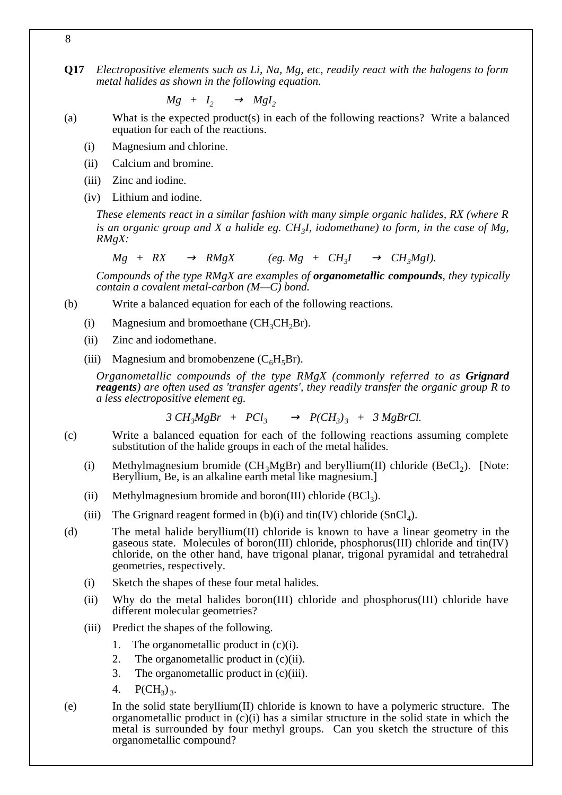**Q17** *Electropositive elements such as Li, Na, Mg, etc, readily react with the halogens to form metal halides as shown in the following equation.*

 $Mg + I_2 \longrightarrow MgI_2$ 

(a) What is the expected product(s) in each of the following reactions? Write a balanced equation for each of the reactions.

- (i) Magnesium and chlorine.
- (ii) Calcium and bromine.
- (iii) Zinc and iodine.
- (iv) Lithium and iodine.

*These elements react in a similar fashion with many simple organic halides, RX (where R is an organic group and X a halide eg. CH3I, iodomethane) to form, in the case of Mg, RMgX:*

 $Mg + RX \longrightarrow RMgX$  (eg.  $Mg + CH_3I \longrightarrow CH_3MgI$ ).

*Compounds of the type RMgX are examples of organometallic compounds, they typically contain a covalent metal-carbon (M—C) bond.*

- (b) Write a balanced equation for each of the following reactions.
	- (i) Magnesium and bromoethane  $(CH<sub>3</sub>CH<sub>2</sub>Br)$ .
	- (ii) Zinc and iodomethane.
	- (iii) Magnesium and bromobenzene  $(C<sub>6</sub>H<sub>5</sub>Br)$ .

*Organometallic compounds of the type RMgX (commonly referred to as Grignard reagents) are often used as 'transfer agents', they readily transfer the organic group R to a less electropositive element eg.*

$$
3 CH3MgBr + PCl3 \longrightarrow P(CH3)3 + 3 MgBrCl.
$$

- (c) Write a balanced equation for each of the following reactions assuming complete substitution of the halide groups in each of the metal halides.
	- (i) Methylmagnesium bromide  $(CH_3MgBr)$  and beryllium(II) chloride (BeCl<sub>2</sub>). [Note: Beryllium, Be, is an alkaline earth metal like magnesium.]
	- (ii) Methylmagnesium bromide and boron(III) chloride  $(BCl<sub>3</sub>)$ .
	- (iii) The Grignard reagent formed in  $(b)(i)$  and tin(IV) chloride (SnCl<sub>4</sub>).
- (d) The metal halide beryllium(II) chloride is known to have a linear geometry in the gaseous state. Molecules of boron(III) chloride, phosphorus(III) chloride and tin(IV) chloride, on the other hand, have trigonal planar, trigonal pyramidal and tetrahedral geometries, respectively.
	- (i) Sketch the shapes of these four metal halides.
	- (ii) Why do the metal halides boron(III) chloride and phosphorus(III) chloride have different molecular geometries?
	- (iii) Predict the shapes of the following.
		- 1. The organometallic product in  $(c)(i)$ .
		- 2. The organometallic product in  $(c)(ii)$ .
		- 3. The organometallic product in (c)(iii).
		- 4.  $P(CH_3)_3$ .
- (e) In the solid state beryllium(II) chloride is known to have a polymeric structure. The organometallic product in  $(c)(i)$  has a similar structure in the solid state in which the metal is surrounded by four methyl groups. Can you sketch the structure of this organometallic compound?

8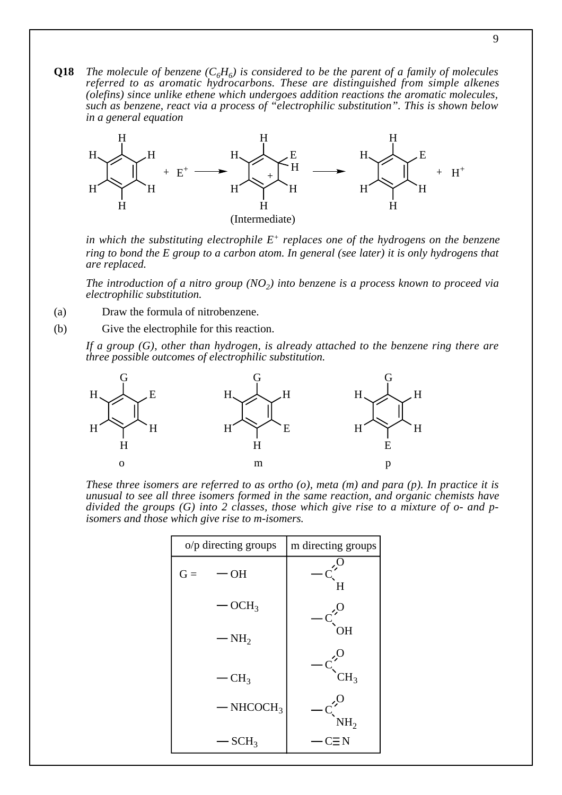**Q18** *The molecule of benzene*  $(C_6H_6)$  is considered to be the parent of a family of molecules *referred to as aromatic hydrocarbons. These are distinguished from simple alkenes (olefins) since unlike ethene which undergoes addition reactions the aromatic molecules, such as benzene, react via a process of "electrophilic substitution". This is shown below in a general equation*



*in which the substituting electrophile E+ replaces one of the hydrogens on the benzene ring to bond the E group to a carbon atom. In general (see later) it is only hydrogens that are replaced.*

*The introduction of a nitro group (NO<sub>2</sub>) into benzene is a process known to proceed via electrophilic substitution.*

(a) Draw the formula of nitrobenzene.

(b) Give the electrophile for this reaction.

*If a group (G), other than hydrogen, is already attached to the benzene ring there are three possible outcomes of electrophilic substitution.*



*These three isomers are referred to as ortho (o), meta (m) and para (p). In practice it is unusual to see all three isomers formed in the same reaction, and organic chemists have divided the groups (G) into 2 classes, those which give rise to a mixture of o- and pisomers and those which give rise to m-isomers.*

|       | o/p directing groups    | m directing groups |
|-------|-------------------------|--------------------|
| $G =$ | $-OH$                   | H                  |
|       | OCH <sub>3</sub>        |                    |
|       | $-NH2$                  | OН                 |
|       | CH <sub>3</sub>         | CH <sub>3</sub>    |
|       | $-$ NHCOCH <sub>3</sub> | NH <sub>2</sub>    |
|       | $-$ SCH <sub>3</sub>    | CΞN                |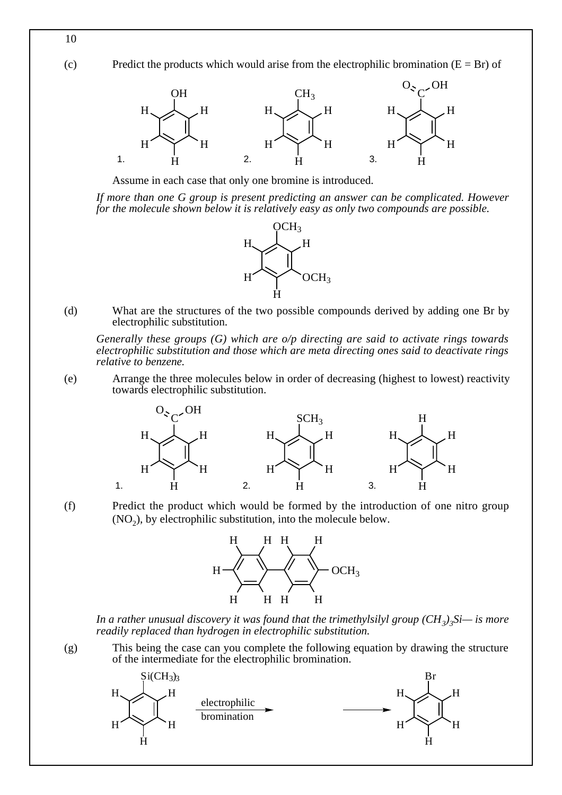(c) Predict the products which would arise from the electrophilic bromination  $(E = Br)$  of



Assume in each case that only one bromine is introduced.

*If more than one G group is present predicting an answer can be complicated. However for the molecule shown below it is relatively easy as only two compounds are possible.*



(d) What are the structures of the two possible compounds derived by adding one Br by electrophilic substitution.

*Generally these groups (G) which are o/p directing are said to activate rings towards electrophilic substitution and those which are meta directing ones said to deactivate rings relative to benzene.*

(e) Arrange the three molecules below in order of decreasing (highest to lowest) reactivity towards electrophilic substitution.



(f) Predict the product which would be formed by the introduction of one nitro group  $(NO<sub>2</sub>)$ , by electrophilic substitution, into the molecule below.



*In a rather unusual discovery it was found that the trimethylsilyl group (CH<sub>3</sub>)<sub>3</sub>Si— is more readily replaced than hydrogen in electrophilic substitution.*

(g) This being the case can you complete the following equation by drawing the structure of the intermediate for the electrophilic bromination.



10